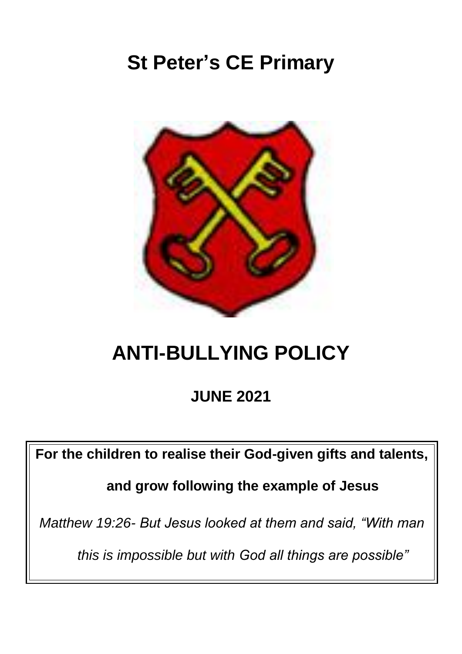# **St Peter's CE Primary**



# **ANTI-BULLYING POLICY**

**JUNE 2021**

**For the children to realise their God-given gifts and talents,** 

**and grow following the example of Jesus** 

*Matthew 19:26- But Jesus looked at them and said, "With man* 

*this is impossible but with God all things are possible"*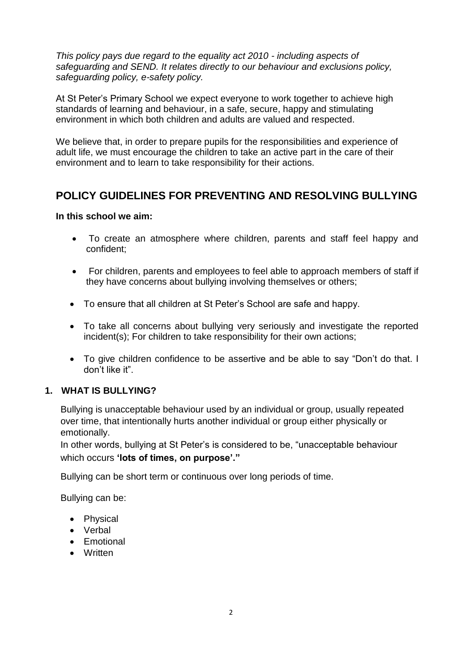*This policy pays due regard to the equality act 2010 - including aspects of safeguarding and SEND. It relates directly to our behaviour and exclusions policy, safeguarding policy, e-safety policy.*

At St Peter's Primary School we expect everyone to work together to achieve high standards of learning and behaviour, in a safe, secure, happy and stimulating environment in which both children and adults are valued and respected.

We believe that, in order to prepare pupils for the responsibilities and experience of adult life, we must encourage the children to take an active part in the care of their environment and to learn to take responsibility for their actions.

## **POLICY GUIDELINES FOR PREVENTING AND RESOLVING BULLYING**

### **In this school we aim:**

- To create an atmosphere where children, parents and staff feel happy and confident;
- For children, parents and employees to feel able to approach members of staff if they have concerns about bullying involving themselves or others;
- To ensure that all children at St Peter's School are safe and happy.
- To take all concerns about bullying very seriously and investigate the reported incident(s); For children to take responsibility for their own actions;
- To give children confidence to be assertive and be able to say "Don't do that. I don't like it".

### **1. WHAT IS BULLYING?**

Bullying is unacceptable behaviour used by an individual or group, usually repeated over time, that intentionally hurts another individual or group either physically or emotionally.

In other words, bullying at St Peter's is considered to be, "unacceptable behaviour which occurs **'lots of times, on purpose'."**

Bullying can be short term or continuous over long periods of time.

Bullying can be:

- Physical
- Verbal
- Emotional
- Written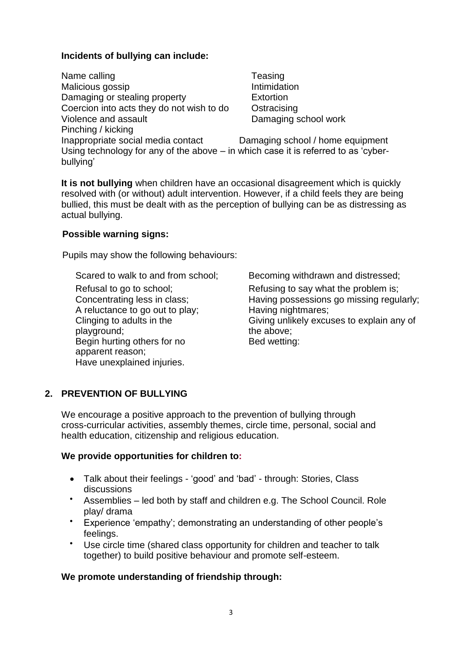## **Incidents of bullying can include:**

| Name calling                                                                                    | Teasing                          |
|-------------------------------------------------------------------------------------------------|----------------------------------|
| Malicious gossip                                                                                | Intimidation                     |
| Damaging or stealing property                                                                   | <b>Extortion</b>                 |
| Coercion into acts they do not wish to do                                                       | Ostracising                      |
| Violence and assault                                                                            | Damaging school work             |
| Pinching / kicking                                                                              |                                  |
| Inappropriate social media contact                                                              | Damaging school / home equipment |
| Using technology for any of the above – in which case it is referred to as 'cyber-<br>bullying' |                                  |

**It is not bullying** when children have an occasional disagreement which is quickly resolved with (or without) adult intervention. However, if a child feels they are being bullied, this must be dealt with as the perception of bullying can be as distressing as actual bullying.

### **Possible warning signs:**

Pupils may show the following behaviours:

A reluctance to go out to play; Having nightmares; Clinging to adults in the playground; Begin hurting others for no apparent reason; Have unexplained injuries.

Scared to walk to and from school; Becoming withdrawn and distressed; Refusal to go to school; Refusing to say what the problem is; Concentrating less in class; Having possessions go missing regularly; Giving unlikely excuses to explain any of the above; Bed wetting:

## **2. PREVENTION OF BULLYING**

We encourage a positive approach to the prevention of bullying through cross-curricular activities, assembly themes, circle time, personal, social and health education, citizenship and religious education.

## **We provide opportunities for children to:**

- Talk about their feelings 'good' and 'bad' through: Stories, Class discussions
- Assemblies led both by staff and children e.g. The School Council. Role play/ drama
- Experience 'empathy'; demonstrating an understanding of other people's feelings.
- Use circle time (shared class opportunity for children and teacher to talk together) to build positive behaviour and promote self-esteem.

## **We promote understanding of friendship through:**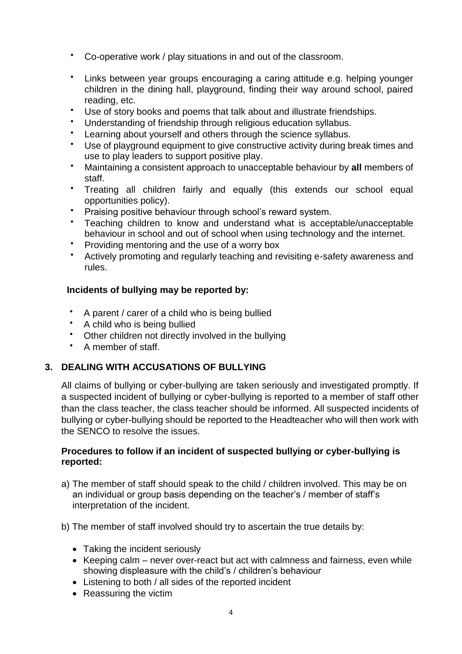- Co-operative work / play situations in and out of the classroom.
- Links between year groups encouraging a caring attitude e.g. helping younger children in the dining hall, playground, finding their way around school, paired reading, etc.
- Use of story books and poems that talk about and illustrate friendships.
- Understanding of friendship through religious education syllabus.
- Learning about yourself and others through the science syllabus.
- Use of playground equipment to give constructive activity during break times and use to play leaders to support positive play.
- Maintaining a consistent approach to unacceptable behaviour by **all** members of staff.
- Treating all children fairly and equally (this extends our school equal opportunities policy).
- Praising positive behaviour through school's reward system.
- Teaching children to know and understand what is acceptable/unacceptable behaviour in school and out of school when using technology and the internet.
- Providing mentoring and the use of a worry box
- Actively promoting and regularly teaching and revisiting e-safety awareness and rules.

## **Incidents of bullying may be reported by:**

- A parent / carer of a child who is being bullied
- A child who is being bullied
- Other children not directly involved in the bullying
- A member of staff.

### **3. DEALING WITH ACCUSATIONS OF BULLYING**

All claims of bullying or cyber-bullying are taken seriously and investigated promptly. If a suspected incident of bullying or cyber-bullying is reported to a member of staff other than the class teacher, the class teacher should be informed. All suspected incidents of bullying or cyber-bullying should be reported to the Headteacher who will then work with the SENCO to resolve the issues.

## **Procedures to follow if an incident of suspected bullying or cyber-bullying is reported:**

- a) The member of staff should speak to the child / children involved. This may be on an individual or group basis depending on the teacher's / member of staff's interpretation of the incident.
- b) The member of staff involved should try to ascertain the true details by:
	- Taking the incident seriously
	- Keeping calm never over-react but act with calmness and fairness, even while showing displeasure with the child's / children's behaviour
	- Listening to both / all sides of the reported incident
	- Reassuring the victim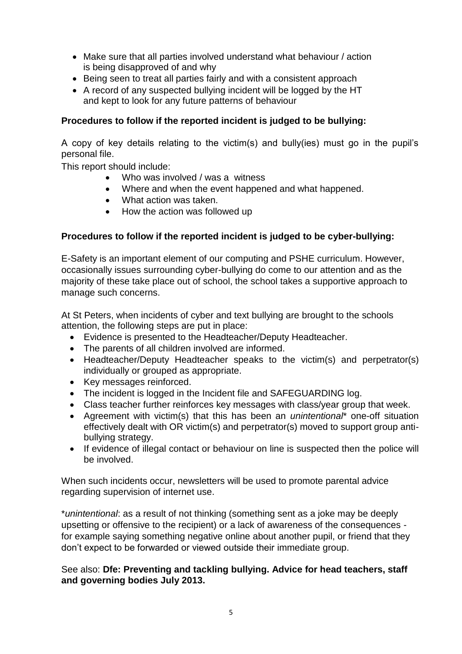- Make sure that all parties involved understand what behaviour / action is being disapproved of and why
- Being seen to treat all parties fairly and with a consistent approach
- A record of any suspected bullying incident will be logged by the HT and kept to look for any future patterns of behaviour

## **Procedures to follow if the reported incident is judged to be bullying:**

A copy of key details relating to the victim(s) and bully(ies) must go in the pupil's personal file.

This report should include:

- Who was involved / was a witness
- Where and when the event happened and what happened.
- What action was taken.
- How the action was followed up

## **Procedures to follow if the reported incident is judged to be cyber-bullying:**

E-Safety is an important element of our computing and PSHE curriculum. However, occasionally issues surrounding cyber-bullying do come to our attention and as the majority of these take place out of school, the school takes a supportive approach to manage such concerns.

At St Peters, when incidents of cyber and text bullying are brought to the schools attention, the following steps are put in place:

- Evidence is presented to the Headteacher/Deputy Headteacher.
- The parents of all children involved are informed.
- Headteacher/Deputy Headteacher speaks to the victim(s) and perpetrator(s) individually or grouped as appropriate.
- Key messages reinforced.
- The incident is logged in the Incident file and SAFEGUARDING log.
- Class teacher further reinforces key messages with class/year group that week.
- Agreement with victim(s) that this has been an *unintentional*\* one-off situation effectively dealt with OR victim(s) and perpetrator(s) moved to support group antibullying strategy.
- If evidence of illegal contact or behaviour on line is suspected then the police will be involved.

When such incidents occur, newsletters will be used to promote parental advice regarding supervision of internet use.

\**unintentional*: as a result of not thinking (something sent as a joke may be deeply upsetting or offensive to the recipient) or a lack of awareness of the consequences for example saying something negative online about another pupil, or friend that they don't expect to be forwarded or viewed outside their immediate group.

See also: **Dfe: Preventing and tackling bullying. Advice for head teachers, staff and governing bodies July 2013.**